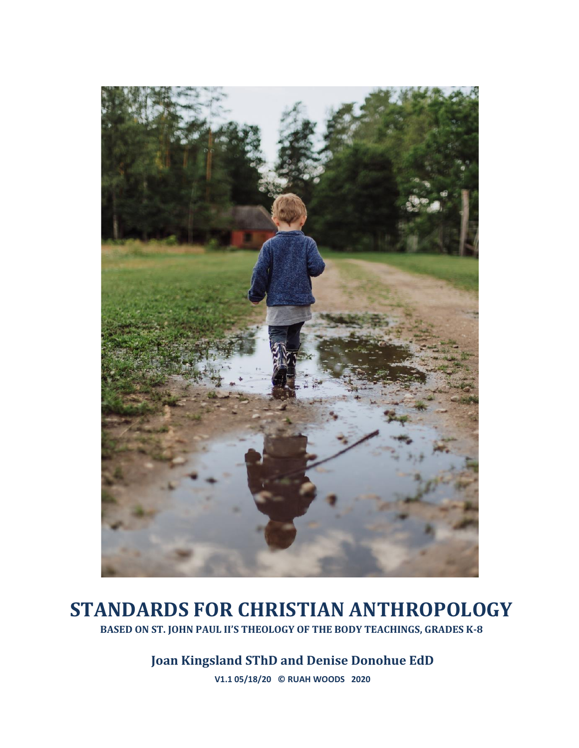

# **STANDARDS FOR CHRISTIAN ANTHROPOLOGY BASED ON ST. JOHN PAUL II'S THEOLOGY OF THE BODY TEACHINGS, GRADES K-8**

**Joan Kingsland SThD and Denise Donohue EdD**

**V1.1 05/18/20 © RUAH WOODS 2020**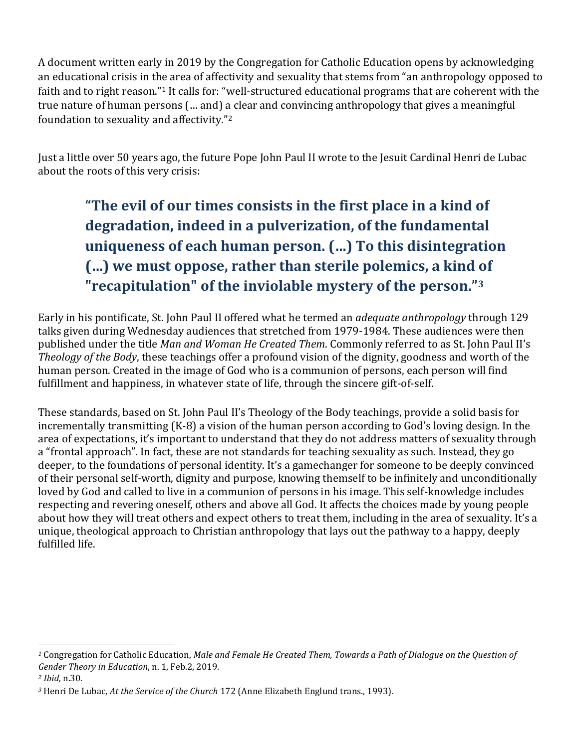A document written early in 2019 by the Congregation for Catholic Education opens by acknowledging an educational crisis in the area of affectivity and sexuality that stems from "an anthropology opposed to faith and to right reason."<sup>1</sup> It calls for: "well-structured educational programs that are coherent with the true nature of human persons (… and) a clear and convincing anthropology that gives a meaningful foundation to sexuality and affectivity."<sup>2</sup>

Just a little over 50 years ago, the future Pope John Paul II wrote to the Jesuit Cardinal Henri de Lubac about the roots of this very crisis:

# **"The evil of our times consists in the first place in a kind of degradation, indeed in a pulverization, of the fundamental uniqueness of each human person. (…) To this disintegration (…) we must oppose, rather than sterile polemics, a kind of "recapitulation" of the inviolable mystery of the person."<sup>3</sup>**

Early in his pontificate, St. John Paul II offered what he termed an *adequate anthropology* through 129 talks given during Wednesday audiences that stretched from 1979-1984. These audiences were then published under the title *Man and Woman He Created Them*. Commonly referred to as St. John Paul II's *Theology of the Body*, these teachings offer a profound vision of the dignity, goodness and worth of the human person. Created in the image of God who is a communion of persons, each person will find fulfillment and happiness, in whatever state of life, through the sincere gift-of-self.

These standards, based on St. John Paul II's Theology of the Body teachings, provide a solid basis for incrementally transmitting (K-8) a vision of the human person according to God's loving design. In the area of expectations, it's important to understand that they do not address matters of sexuality through a "frontal approach". In fact, these are not standards for teaching sexuality as such. Instead, they go deeper, to the foundations of personal identity. It's a gamechanger for someone to be deeply convinced of their personal self-worth, dignity and purpose, knowing themself to be infinitely and unconditionally loved by God and called to live in a communion of persons in his image. This self-knowledge includes respecting and revering oneself, others and above all God. It affects the choices made by young people about how they will treat others and expect others to treat them, including in the area of sexuality. It's a unique, theological approach to Christian anthropology that lays out the pathway to a happy, deeply fulfilled life.

*<sup>1</sup>* Congregation for Catholic Education, *Male and Female He Created Them, Towards a Path of Dialogue on the Question of Gender Theory in Education*, n. 1, Feb.2, 2019.

*<sup>2</sup> Ibid,* n.30.

*<sup>3</sup>* Henri De Lubac, *At the Service of the Church* 172 (Anne Elizabeth Englund trans., 1993).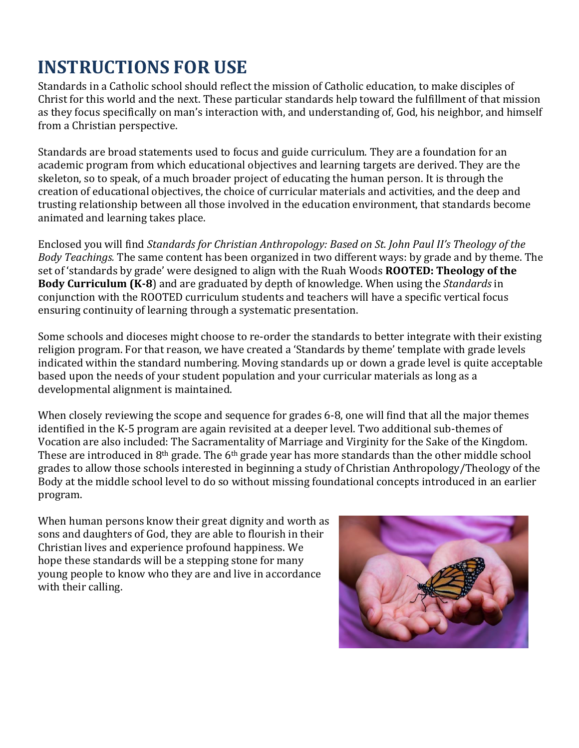# **INSTRUCTIONS FOR USE**

Standards in a Catholic school should reflect the mission of Catholic education, to make disciples of Christ for this world and the next. These particular standards help toward the fulfillment of that mission as they focus specifically on man's interaction with, and understanding of, God, his neighbor, and himself from a Christian perspective.

Standards are broad statements used to focus and guide curriculum. They are a foundation for an academic program from which educational objectives and learning targets are derived. They are the skeleton, so to speak, of a much broader project of educating the human person. It is through the creation of educational objectives, the choice of curricular materials and activities, and the deep and trusting relationship between all those involved in the education environment, that standards become animated and learning takes place.

Enclosed you will find *Standards for Christian Anthropology: Based on St. John Paul II's Theology of the Body Teachings.* The same content has been organized in two different ways: by grade and by theme. The set of 'standards by grade' were designed to align with the Ruah Woods **ROOTED: Theology of the Body Curriculum (K-8**) and are graduated by depth of knowledge. When using the *Standards* in conjunction with the ROOTED curriculum students and teachers will have a specific vertical focus ensuring continuity of learning through a systematic presentation.

Some schools and dioceses might choose to re-order the standards to better integrate with their existing religion program. For that reason, we have created a 'Standards by theme' template with grade levels indicated within the standard numbering. Moving standards up or down a grade level is quite acceptable based upon the needs of your student population and your curricular materials as long as a developmental alignment is maintained.

When closely reviewing the scope and sequence for grades 6-8, one will find that all the major themes identified in the K-5 program are again revisited at a deeper level. Two additional sub-themes of Vocation are also included: The Sacramentality of Marriage and Virginity for the Sake of the Kingdom. These are introduced in 8<sup>th</sup> grade. The 6<sup>th</sup> grade year has more standards than the other middle school grades to allow those schools interested in beginning a study of Christian Anthropology/Theology of the Body at the middle school level to do so without missing foundational concepts introduced in an earlier program.

When human persons know their great dignity and worth as sons and daughters of God, they are able to flourish in their Christian lives and experience profound happiness. We hope these standards will be a stepping stone for many young people to know who they are and live in accordance with their calling.

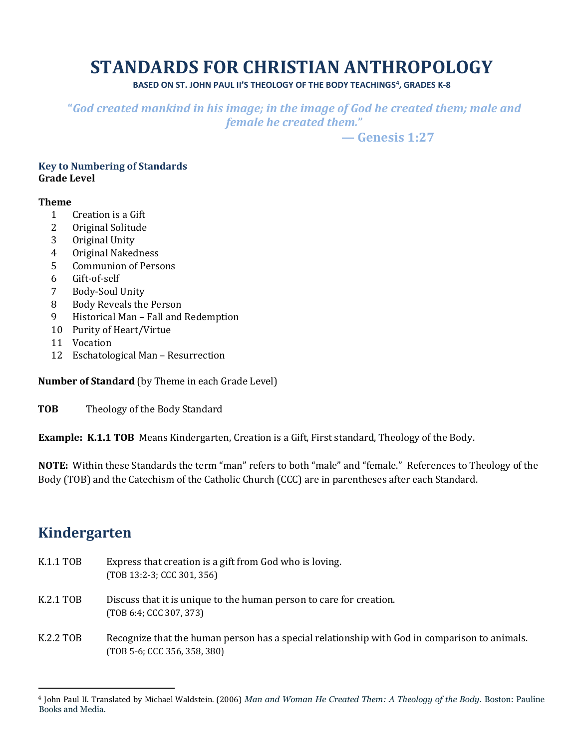# **STANDARDS FOR CHRISTIAN ANTHROPOLOGY**

**BASED ON ST. JOHN PAUL II'S THEOLOGY OF THE BODY TEACHINGS<sup>4</sup> , GRADES K-8**

**"***God created mankind in his image; in the image of God he created them; male and female he created them.***"** 

 **— Genesis 1:27**

#### **Key to Numbering of Standards Grade Level**

#### **Theme**

- 1 Creation is a Gift
- 2 Original Solitude
- 3 Original Unity
- 4 Original Nakedness
- 5 Communion of Persons
- 6 Gift-of-self
- 7 Body-Soul Unity
- 8 Body Reveals the Person
- 9 Historical Man Fall and Redemption
- 10 Purity of Heart/Virtue
- 11 Vocation
- 12 Eschatological Man Resurrection

**Number of Standard** (by Theme in each Grade Level)

**TOB** Theology of the Body Standard

**Example: K.1.1 TOB** Means Kindergarten, Creation is a Gift, First standard, Theology of the Body.

**NOTE:** Within these Standards the term "man" refers to both "male" and "female."References to Theology of the Body (TOB) and the Catechism of the Catholic Church (CCC) are in parentheses after each Standard.

## **Kindergarten**

- K.1.1 TOB Express that creation is a gift from God who is loving. (TOB 13:2-3; CCC 301, 356)
- K.2.1 TOB Discuss that it is unique to the human person to care for creation. (TOB 6:4; CCC 307, 373)
- K.2.2 TOB Recognize that the human person has a special relationship with God in comparison to animals. (TOB 5-6; CCC 356, 358, 380)

<sup>4</sup> John Paul II. Translated by Michael Waldstein. (2006) *Man and Woman He Created Them: A Theology of the Body*. Boston: Pauline Books and Media.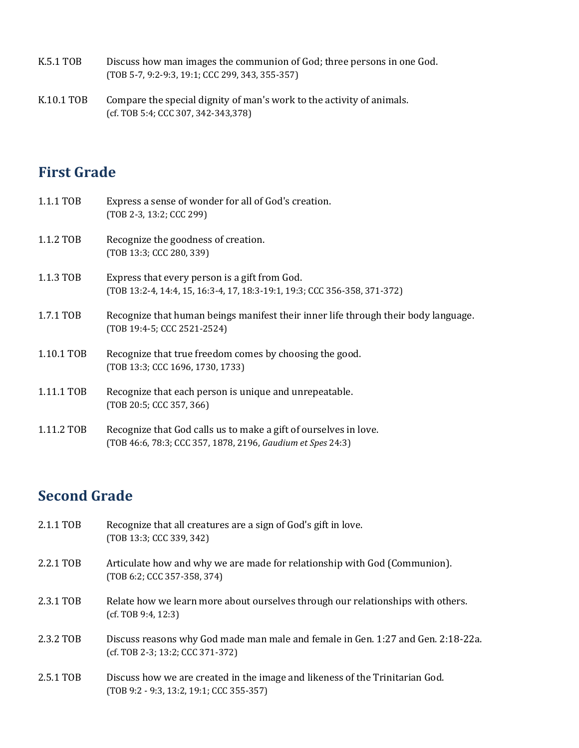- K.5.1 TOB Discuss how man images the communion of God; three persons in one God. (TOB 5-7, 9:2-9:3, 19:1; CCC 299, 343, 355-357)
- K.10.1 TOB Compare the special dignity of man's work to the activity of animals. (cf. TOB 5:4; CCC 307, 342-343,378)

# **First Grade**

| 1.1.1 TOB  | Express a sense of wonder for all of God's creation.<br>(TOB 2-3, 13:2; CCC 299)                                                |
|------------|---------------------------------------------------------------------------------------------------------------------------------|
| 1.1.2 TOB  | Recognize the goodness of creation.<br>(TOB 13:3; CCC 280, 339)                                                                 |
| 1.1.3 TOB  | Express that every person is a gift from God.<br>(TOB 13:2-4, 14:4, 15, 16:3-4, 17, 18:3-19:1, 19:3; CCC 356-358, 371-372)      |
| 1.7.1 TOB  | Recognize that human beings manifest their inner life through their body language.<br>(TOB 19:4-5; CCC 2521-2524)               |
| 1.10.1 TOB | Recognize that true freedom comes by choosing the good.<br>(TOB 13:3; CCC 1696, 1730, 1733)                                     |
| 1.11.1 TOB | Recognize that each person is unique and unrepeatable.<br>(TOB 20:5; CCC 357, 366)                                              |
| 1.11.2 TOB | Recognize that God calls us to make a gift of ourselves in love.<br>(TOB 46:6, 78:3; CCC 357, 1878, 2196, Gaudium et Spes 24:3) |

# **Second Grade**

| 2.1.1 TOB | Recognize that all creatures are a sign of God's gift in love.<br>(TOB 13:3; CCC 339, 342)                               |
|-----------|--------------------------------------------------------------------------------------------------------------------------|
| 2.2.1 TOB | Articulate how and why we are made for relationship with God (Communion).<br>(TOB 6:2; CCC 357-358, 374)                 |
| 2.3.1 TOB | Relate how we learn more about ourselves through our relationships with others.<br>(cf. TOB 9:4, 12:3)                   |
| 2.3.2 TOB | Discuss reasons why God made man male and female in Gen. 1:27 and Gen. 2:18-22a.<br>(cf. TOB 2-3; 13:2; CCC 371-372)     |
| 2.5.1 TOB | Discuss how we are created in the image and likeness of the Trinitarian God.<br>(TOB 9:2 - 9:3, 13:2, 19:1; CCC 355-357) |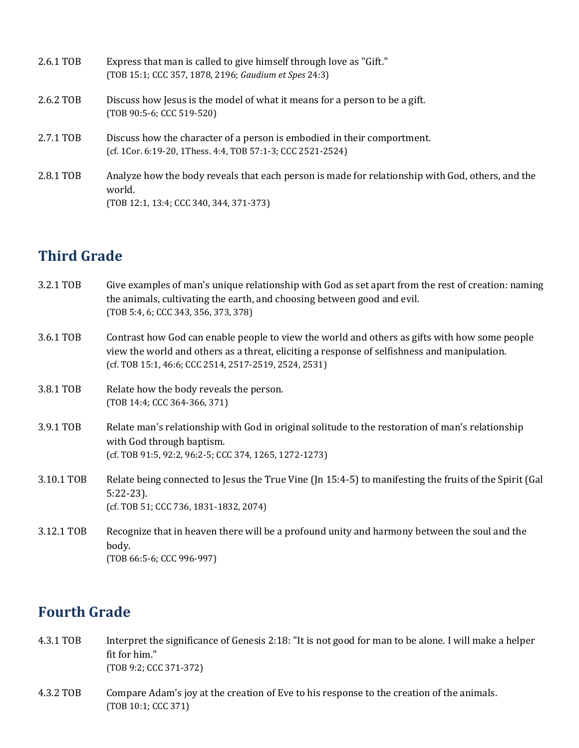| 2.6.1 TOB | Express that man is called to give himself through love as "Gift."<br>(TOB 15:1; CCC 357, 1878, 2196; Gaudium et Spes 24:3)                           |
|-----------|-------------------------------------------------------------------------------------------------------------------------------------------------------|
| 2.6.2 TOB | Discuss how Jesus is the model of what it means for a person to be a gift.<br>(TOB 90:5-6; CCC 519-520)                                               |
| 2.7.1 TOB | Discuss how the character of a person is embodied in their comportment.<br>(cf. 1Cor. 6:19-20, 1Thess. 4:4, TOB 57:1-3; CCC 2521-2524)                |
| 2.8.1 TOB | Analyze how the body reveals that each person is made for relationship with God, others, and the<br>world.<br>(TOB 12:1, 13:4; CCC 340, 344, 371-373) |

# **Third Grade**

| 3.2.1 TOB  | Give examples of man's unique relationship with God as set apart from the rest of creation: naming<br>the animals, cultivating the earth, and choosing between good and evil.<br>(TOB 5:4, 6; CCC 343, 356, 373, 378)                                  |
|------------|--------------------------------------------------------------------------------------------------------------------------------------------------------------------------------------------------------------------------------------------------------|
| 3.6.1 TOB  | Contrast how God can enable people to view the world and others as gifts with how some people<br>view the world and others as a threat, eliciting a response of selfishness and manipulation.<br>(cf. TOB 15:1, 46:6; CCC 2514, 2517-2519, 2524, 2531) |
| 3.8.1 TOB  | Relate how the body reveals the person.<br>(TOB 14:4; CCC 364-366, 371)                                                                                                                                                                                |
| 3.9.1 TOB  | Relate man's relationship with God in original solitude to the restoration of man's relationship<br>with God through baptism.<br>(cf. TOB 91:5, 92:2, 96:2-5; CCC 374, 1265, 1272-1273)                                                                |
| 3.10.1 TOB | Relate being connected to Jesus the True Vine (Jn 15:4-5) to manifesting the fruits of the Spirit (Gal<br>$5:22-23$ ).<br>(cf. TOB 51; CCC 736, 1831-1832, 2074)                                                                                       |
| 3.12.1 TOB | Recognize that in heaven there will be a profound unity and harmony between the soul and the<br>body.<br>(TOB 66:5-6; CCC 996-997)                                                                                                                     |

# **Fourth Grade**

- 4.3.1 TOB Interpret the significance of Genesis 2:18: "It is not good for man to be alone. I will make a helper fit for him." (TOB 9:2; CCC 371-372)
- 4.3.2 TOB Compare Adam's joy at the creation of Eve to his response to the creation of the animals. (TOB 10:1; CCC 371)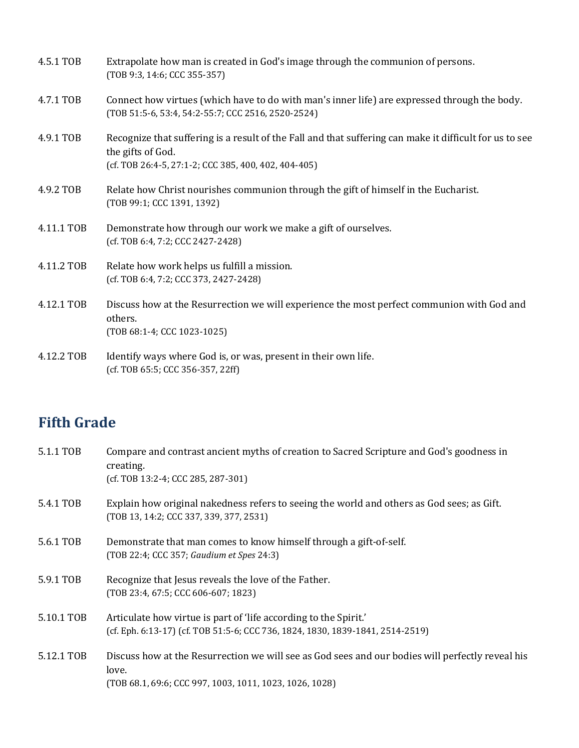| 4.5.1 TOB  | Extrapolate how man is created in God's image through the communion of persons.<br>(TOB 9:3, 14:6; CCC 355-357)                                                                      |
|------------|--------------------------------------------------------------------------------------------------------------------------------------------------------------------------------------|
| 4.7.1 TOB  | Connect how virtues (which have to do with man's inner life) are expressed through the body.<br>(TOB 51:5-6, 53:4, 54:2-55:7; CCC 2516, 2520-2524)                                   |
| 4.9.1 TOB  | Recognize that suffering is a result of the Fall and that suffering can make it difficult for us to see<br>the gifts of God.<br>(cf. TOB 26:4-5, 27:1-2; CCC 385, 400, 402, 404-405) |
| 4.9.2 TOB  | Relate how Christ nourishes communion through the gift of himself in the Eucharist.<br>(TOB 99:1; CCC 1391, 1392)                                                                    |
| 4.11.1 TOB | Demonstrate how through our work we make a gift of ourselves.<br>(cf. TOB 6:4, 7:2; CCC 2427-2428)                                                                                   |
| 4.11.2 TOB | Relate how work helps us fulfill a mission.<br>(cf. TOB 6:4, 7:2; CCC 373, 2427-2428)                                                                                                |
| 4.12.1 TOB | Discuss how at the Resurrection we will experience the most perfect communion with God and<br>others.<br>(TOB 68:1-4; CCC 1023-1025)                                                 |
| 4.12.2 TOB | Identify ways where God is, or was, present in their own life.<br>(cf. TOB 65:5; CCC 356-357, 22ff)                                                                                  |

# **Fifth Grade**

| Compare and contrast ancient myths of creation to Sacred Scripture and God's goodness in<br>creating.<br>$(cf. TOB 13:2-4; CCC 285, 287-301)$                        |
|----------------------------------------------------------------------------------------------------------------------------------------------------------------------|
| Explain how original nakedness refers to seeing the world and others as God sees; as Gift.<br>(TOB 13, 14:2; CCC 337, 339, 377, 2531)                                |
| Demonstrate that man comes to know himself through a gift-of-self.<br>(TOB 22:4; CCC 357; Gaudium et Spes 24:3)                                                      |
| Recognize that Jesus reveals the love of the Father.<br>(TOB 23:4, 67:5; CCC 606-607; 1823)                                                                          |
| Articulate how virtue is part of 'life according to the Spirit.'<br>(cf. Eph. 6:13-17) (cf. TOB 51:5-6; CCC 736, 1824, 1830, 1839-1841, 2514-2519)                   |
| Discuss how at the Resurrection we will see as God sees and our bodies will perfectly reveal his<br>love.<br>(TOB 68.1, 69:6; CCC 997, 1003, 1011, 1023, 1026, 1028) |
|                                                                                                                                                                      |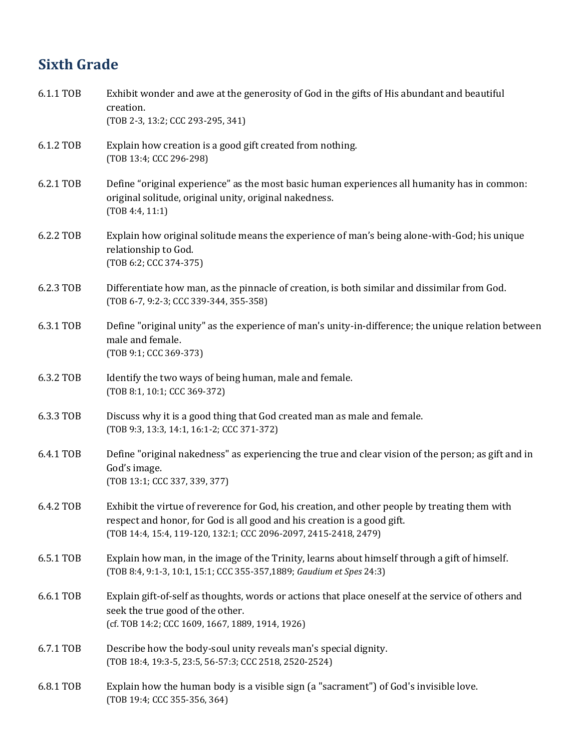# **Sixth Grade**

| 6.1.1 TOB | Exhibit wonder and awe at the generosity of God in the gifts of His abundant and beautiful<br>creation.<br>(TOB 2-3, 13:2; CCC 293-295, 341)                                                                                                 |
|-----------|----------------------------------------------------------------------------------------------------------------------------------------------------------------------------------------------------------------------------------------------|
| 6.1.2 TOB | Explain how creation is a good gift created from nothing.<br>(TOB 13:4; CCC 296-298)                                                                                                                                                         |
| 6.2.1 TOB | Define "original experience" as the most basic human experiences all humanity has in common:<br>original solitude, original unity, original nakedness.<br>(TOB 4:4, 11:1)                                                                    |
| 6.2.2 TOB | Explain how original solitude means the experience of man's being alone-with-God; his unique<br>relationship to God.<br>(TOB 6:2; CCC 374-375)                                                                                               |
| 6.2.3 TOB | Differentiate how man, as the pinnacle of creation, is both similar and dissimilar from God.<br>(TOB 6-7, 9:2-3; CCC 339-344, 355-358)                                                                                                       |
| 6.3.1 TOB | Define "original unity" as the experience of man's unity-in-difference; the unique relation between<br>male and female.<br>(TOB 9:1; CCC 369-373)                                                                                            |
| 6.3.2 TOB | Identify the two ways of being human, male and female.<br>(TOB 8:1, 10:1; CCC 369-372)                                                                                                                                                       |
| 6.3.3 TOB | Discuss why it is a good thing that God created man as male and female.<br>(TOB 9:3, 13:3, 14:1, 16:1-2; CCC 371-372)                                                                                                                        |
| 6.4.1 TOB | Define "original nakedness" as experiencing the true and clear vision of the person; as gift and in<br>God's image.<br>(TOB 13:1; CCC 337, 339, 377)                                                                                         |
| 6.4.2 TOB | Exhibit the virtue of reverence for God, his creation, and other people by treating them with<br>respect and honor, for God is all good and his creation is a good gift.<br>(TOB 14:4, 15:4, 119-120, 132:1; CCC 2096-2097, 2415-2418, 2479) |
| 6.5.1 TOB | Explain how man, in the image of the Trinity, learns about himself through a gift of himself.<br>(TOB 8:4, 9:1-3, 10:1, 15:1; CCC 355-357,1889; Gaudium et Spes 24:3)                                                                        |
| 6.6.1 TOB | Explain gift-of-self as thoughts, words or actions that place oneself at the service of others and<br>seek the true good of the other.<br>(cf. TOB 14:2; CCC 1609, 1667, 1889, 1914, 1926)                                                   |
| 6.7.1 TOB | Describe how the body-soul unity reveals man's special dignity.<br>(TOB 18:4, 19:3-5, 23:5, 56-57:3; CCC 2518, 2520-2524)                                                                                                                    |
| 6.8.1 TOB | Explain how the human body is a visible sign (a "sacrament") of God's invisible love.<br>(TOB 19:4; CCC 355-356, 364)                                                                                                                        |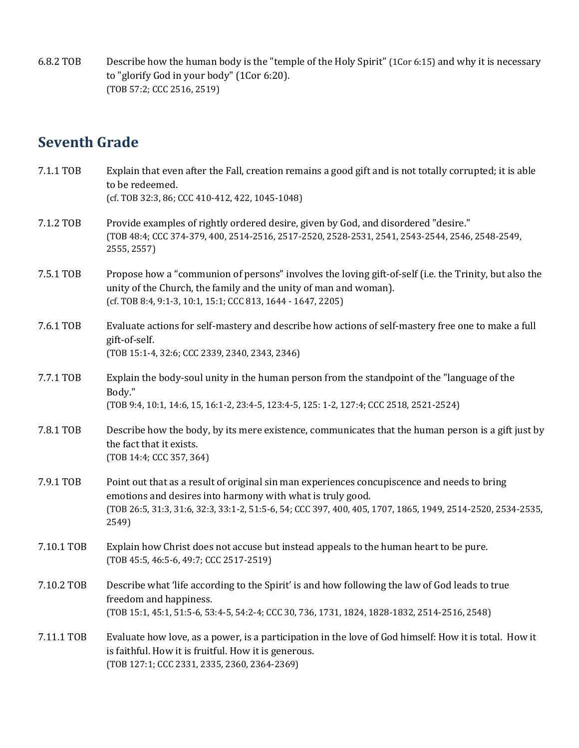6.8.2 TOB Describe how the human body is the "temple of the Holy Spirit" (1Cor 6:15) and why it is necessary to "glorify God in your body" (1Cor 6:20). (TOB 57:2; CCC 2516, 2519)

### **Seventh Grade**

| 7.1.1 TOB  | Explain that even after the Fall, creation remains a good gift and is not totally corrupted; it is able<br>to be redeemed.<br>(cf. TOB 32:3, 86; CCC 410-412, 422, 1045-1048)                                                                                                     |
|------------|-----------------------------------------------------------------------------------------------------------------------------------------------------------------------------------------------------------------------------------------------------------------------------------|
| 7.1.2 TOB  | Provide examples of rightly ordered desire, given by God, and disordered "desire."<br>(T0B 48:4; CCC 374-379, 400, 2514-2516, 2517-2520, 2528-2531, 2541, 2543-2544, 2546, 2548-2549,<br>2555, 2557)                                                                              |
| 7.5.1 TOB  | Propose how a "communion of persons" involves the loving gift-of-self (i.e. the Trinity, but also the<br>unity of the Church, the family and the unity of man and woman).<br>(cf. TOB 8:4, 9:1-3, 10:1, 15:1; CCC 813, 1644 - 1647, 2205)                                         |
| 7.6.1 TOB  | Evaluate actions for self-mastery and describe how actions of self-mastery free one to make a full<br>gift-of-self.<br>(TOB 15:1-4, 32:6; CCC 2339, 2340, 2343, 2346)                                                                                                             |
| 7.7.1 TOB  | Explain the body-soul unity in the human person from the standpoint of the "language of the<br>Body."<br>(T0B 9:4, 10:1, 14:6, 15, 16:1-2, 23:4-5, 123:4-5, 125: 1-2, 127:4; CCC 2518, 2521-2524)                                                                                 |
| 7.8.1 TOB  | Describe how the body, by its mere existence, communicates that the human person is a gift just by<br>the fact that it exists.<br>(TOB 14:4; CCC 357, 364)                                                                                                                        |
| 7.9.1 TOB  | Point out that as a result of original sin man experiences concupiscence and needs to bring<br>emotions and desires into harmony with what is truly good.<br>(TOB 26:5, 31:3, 31:6, 32:3, 33:1-2, 51:5-6, 54; CCC 397, 400, 405, 1707, 1865, 1949, 2514-2520, 2534-2535,<br>2549) |
| 7.10.1 TOB | Explain how Christ does not accuse but instead appeals to the human heart to be pure.<br>(TOB 45:5, 46:5-6, 49:7; CCC 2517-2519)                                                                                                                                                  |
| 7.10.2 TOB | Describe what 'life according to the Spirit' is and how following the law of God leads to true<br>freedom and happiness.<br>(T0B 15:1, 45:1, 51:5-6, 53:4-5, 54:2-4; CCC 30, 736, 1731, 1824, 1828-1832, 2514-2516, 2548)                                                         |
| 7.11.1 TOB | Evaluate how love, as a power, is a participation in the love of God himself: How it is total. How it<br>is faithful. How it is fruitful. How it is generous.<br>(TOB 127:1; CCC 2331, 2335, 2360, 2364-2369)                                                                     |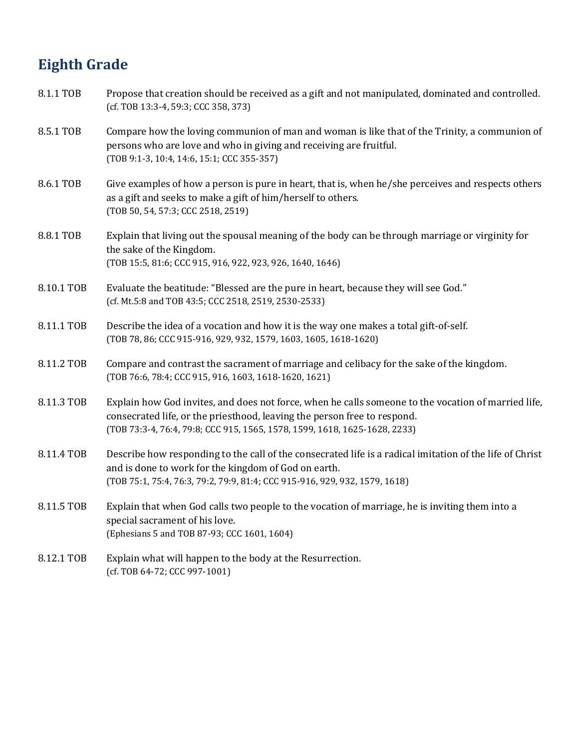# **Eighth Grade**

| 8.1.1 TOB  | Propose that creation should be received as a gift and not manipulated, dominated and controlled.<br>(cf. TOB 13:3-4, 59:3; CCC 358, 373)                                                                                                                     |
|------------|---------------------------------------------------------------------------------------------------------------------------------------------------------------------------------------------------------------------------------------------------------------|
| 8.5.1 TOB  | Compare how the loving communion of man and woman is like that of the Trinity, a communion of<br>persons who are love and who in giving and receiving are fruitful.<br>(TOB 9:1-3, 10:4, 14:6, 15:1; CCC 355-357)                                             |
| 8.6.1 TOB  | Give examples of how a person is pure in heart, that is, when he/she perceives and respects others<br>as a gift and seeks to make a gift of him/herself to others.<br>(TOB 50, 54, 57:3; CCC 2518, 2519)                                                      |
| 8.8.1 TOB  | Explain that living out the spousal meaning of the body can be through marriage or virginity for<br>the sake of the Kingdom.<br>(TOB 15:5, 81:6; CCC 915, 916, 922, 923, 926, 1640, 1646)                                                                     |
| 8.10.1 TOB | Evaluate the beatitude: "Blessed are the pure in heart, because they will see God."<br>(cf. Mt.5:8 and TOB 43:5; CCC 2518, 2519, 2530-2533)                                                                                                                   |
| 8.11.1 TOB | Describe the idea of a vocation and how it is the way one makes a total gift-of-self.<br>(TOB 78, 86; CCC 915-916, 929, 932, 1579, 1603, 1605, 1618-1620)                                                                                                     |
| 8.11.2 TOB | Compare and contrast the sacrament of marriage and celibacy for the sake of the kingdom.<br>(TOB 76:6, 78:4; CCC 915, 916, 1603, 1618-1620, 1621)                                                                                                             |
| 8.11.3 TOB | Explain how God invites, and does not force, when he calls someone to the vocation of married life,<br>consecrated life, or the priesthood, leaving the person free to respond.<br>(TOB 73:3-4, 76:4, 79:8; CCC 915, 1565, 1578, 1599, 1618, 1625-1628, 2233) |
| 8.11.4 TOB | Describe how responding to the call of the consecrated life is a radical imitation of the life of Christ<br>and is done to work for the kingdom of God on earth.<br>(TOB 75:1, 75:4, 76:3, 79:2, 79:9, 81:4; CCC 915-916, 929, 932, 1579, 1618)               |
| 8.11.5 TOB | Explain that when God calls two people to the vocation of marriage, he is inviting them into a<br>special sacrament of his love.<br>(Ephesians 5 and TOB 87-93; CCC 1601, 1604)                                                                               |
| 8.12.1 TOB | Explain what will happen to the body at the Resurrection.<br>(cf. TOB 64-72; CCC 997-1001)                                                                                                                                                                    |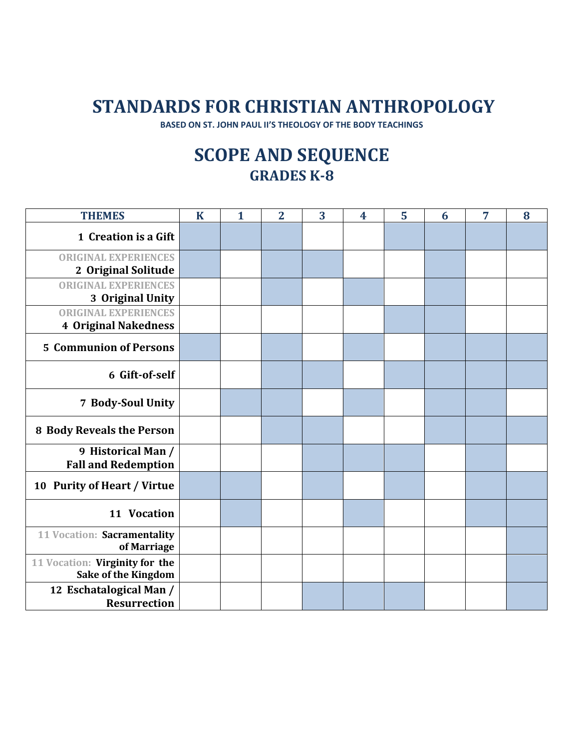# **STANDARDS FOR CHRISTIAN ANTHROPOLOGY**

**BASED ON ST. JOHN PAUL II'S THEOLOGY OF THE BODY TEACHINGS**

# **SCOPE AND SEQUENCE GRADES K-8**

| <b>THEMES</b>                                                | $\mathbf K$ | $\mathbf{1}$ | $\overline{2}$ | 3 | $\overline{\mathbf{4}}$ | 5 | 6 | 7 | 8 |
|--------------------------------------------------------------|-------------|--------------|----------------|---|-------------------------|---|---|---|---|
| 1 Creation is a Gift                                         |             |              |                |   |                         |   |   |   |   |
| <b>ORIGINAL EXPERIENCES</b>                                  |             |              |                |   |                         |   |   |   |   |
| 2 Original Solitude                                          |             |              |                |   |                         |   |   |   |   |
| <b>ORIGINAL EXPERIENCES</b>                                  |             |              |                |   |                         |   |   |   |   |
| 3 Original Unity                                             |             |              |                |   |                         |   |   |   |   |
| <b>ORIGINAL EXPERIENCES</b><br><b>4 Original Nakedness</b>   |             |              |                |   |                         |   |   |   |   |
| <b>5 Communion of Persons</b>                                |             |              |                |   |                         |   |   |   |   |
| 6 Gift-of-self                                               |             |              |                |   |                         |   |   |   |   |
| 7 Body-Soul Unity                                            |             |              |                |   |                         |   |   |   |   |
| <b>8 Body Reveals the Person</b>                             |             |              |                |   |                         |   |   |   |   |
| 9 Historical Man /<br><b>Fall and Redemption</b>             |             |              |                |   |                         |   |   |   |   |
| 10 Purity of Heart / Virtue                                  |             |              |                |   |                         |   |   |   |   |
| 11 Vocation                                                  |             |              |                |   |                         |   |   |   |   |
| 11 Vocation: Sacramentality<br>of Marriage                   |             |              |                |   |                         |   |   |   |   |
| 11 Vocation: Virginity for the<br><b>Sake of the Kingdom</b> |             |              |                |   |                         |   |   |   |   |
| 12 Eschatalogical Man /<br><b>Resurrection</b>               |             |              |                |   |                         |   |   |   |   |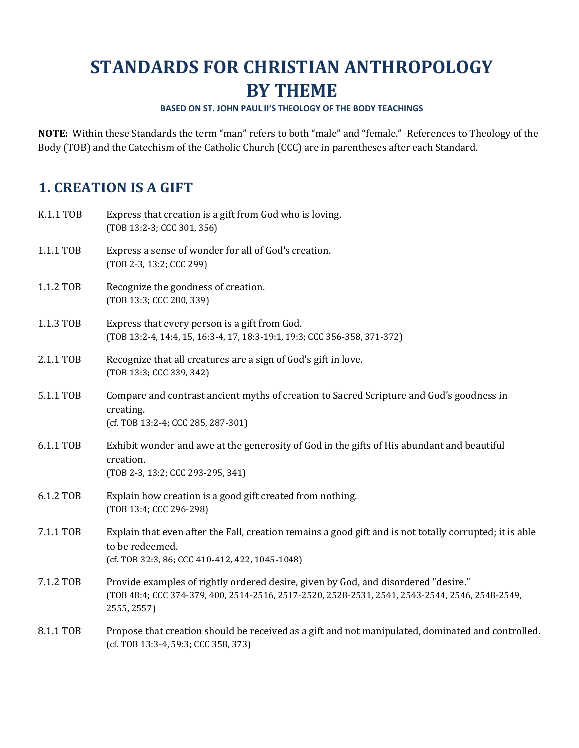# **STANDARDS FOR CHRISTIAN ANTHROPOLOGY BY THEME**

#### **BASED ON ST. JOHN PAUL II'S THEOLOGY OF THE BODY TEACHINGS**

**NOTE:** Within these Standards the term "man" refers to both "male" and "female."References to Theology of the Body (TOB) and the Catechism of the Catholic Church (CCC) are in parentheses after each Standard.

## **1. CREATION IS A GIFT**

| <b>K.1.1 TOB</b> | Express that creation is a gift from God who is loving.<br>(TOB 13:2-3; CCC 301, 356)                                                                                                                |
|------------------|------------------------------------------------------------------------------------------------------------------------------------------------------------------------------------------------------|
| 1.1.1 TOB        | Express a sense of wonder for all of God's creation.<br>(TOB 2-3, 13:2; CCC 299)                                                                                                                     |
| 1.1.2 TOB        | Recognize the goodness of creation.<br>(TOB 13:3; CCC 280, 339)                                                                                                                                      |
| 1.1.3 TOB        | Express that every person is a gift from God.<br>(TOB 13:2-4, 14:4, 15, 16:3-4, 17, 18:3-19:1, 19:3; CCC 356-358, 371-372)                                                                           |
| 2.1.1 TOB        | Recognize that all creatures are a sign of God's gift in love.<br>(TOB 13:3; CCC 339, 342)                                                                                                           |
| 5.1.1 TOB        | Compare and contrast ancient myths of creation to Sacred Scripture and God's goodness in<br>creating.<br>(cf. TOB 13:2-4; CCC 285, 287-301)                                                          |
| 6.1.1 TOB        | Exhibit wonder and awe at the generosity of God in the gifts of His abundant and beautiful<br>creation.<br>(TOB 2-3, 13:2; CCC 293-295, 341)                                                         |
| 6.1.2 TOB        | Explain how creation is a good gift created from nothing.<br>(TOB 13:4; CCC 296-298)                                                                                                                 |
| 7.1.1 TOB        | Explain that even after the Fall, creation remains a good gift and is not totally corrupted; it is able<br>to be redeemed.<br>(cf. TOB 32:3, 86; CCC 410-412, 422, 1045-1048)                        |
| 7.1.2 TOB        | Provide examples of rightly ordered desire, given by God, and disordered "desire."<br>(T0B 48:4; CCC 374-379, 400, 2514-2516, 2517-2520, 2528-2531, 2541, 2543-2544, 2546, 2548-2549,<br>2555, 2557) |
| 8.1.1 TOB        | Propose that creation should be received as a gift and not manipulated, dominated and controlled.<br>(cf. TOB 13:3-4, 59:3; CCC 358, 373)                                                            |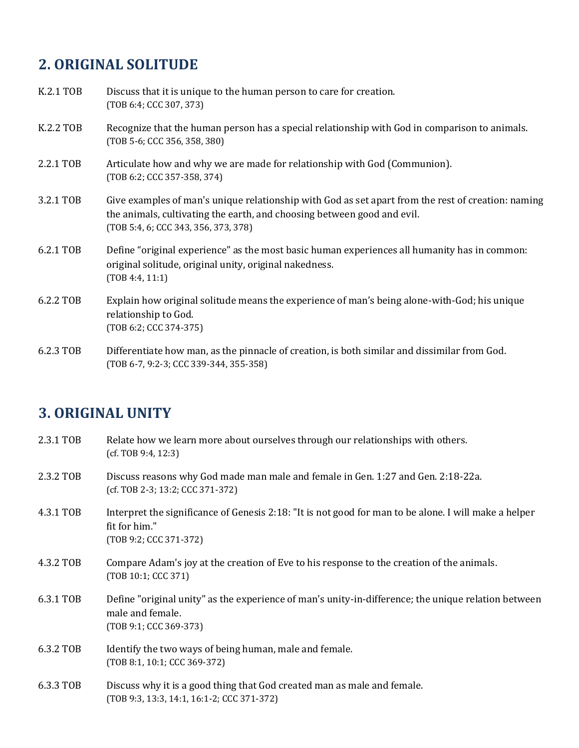# **2. ORIGINAL SOLITUDE**

| K.2.1 TOB | Discuss that it is unique to the human person to care for creation.<br>(TOB 6:4; CCC 307, 373)                                                                                                                        |
|-----------|-----------------------------------------------------------------------------------------------------------------------------------------------------------------------------------------------------------------------|
| K.2.2 TOB | Recognize that the human person has a special relationship with God in comparison to animals.<br>(TOB 5-6; CCC 356, 358, 380)                                                                                         |
| 2.2.1 TOB | Articulate how and why we are made for relationship with God (Communion).<br>(TOB 6:2; CCC 357-358, 374)                                                                                                              |
| 3.2.1 TOB | Give examples of man's unique relationship with God as set apart from the rest of creation: naming<br>the animals, cultivating the earth, and choosing between good and evil.<br>(TOB 5:4, 6; CCC 343, 356, 373, 378) |
| 6.2.1 TOB | Define "original experience" as the most basic human experiences all humanity has in common:<br>original solitude, original unity, original nakedness.<br>(TOB 4:4, 11:1)                                             |
| 6.2.2 TOB | Explain how original solitude means the experience of man's being alone-with-God; his unique<br>relationship to God.<br>(TOB 6:2; CCC 374-375)                                                                        |
| 6.2.3 TOB | Differentiate how man, as the pinnacle of creation, is both similar and dissimilar from God.<br>(TOB 6-7, 9:2-3; CCC 339-344, 355-358)                                                                                |

## **3. ORIGINAL UNITY**

| 2.3.1 TOB | Relate how we learn more about ourselves through our relationships with others.<br>(cf. TOB 9:4, 12:3)                                            |
|-----------|---------------------------------------------------------------------------------------------------------------------------------------------------|
| 2.3.2 TOB | Discuss reasons why God made man male and female in Gen. 1:27 and Gen. 2:18-22a.<br>(cf. TOB 2-3; 13:2; CCC 371-372)                              |
| 4.3.1 TOB | Interpret the significance of Genesis 2:18: "It is not good for man to be alone. I will make a helper<br>fit for him."<br>(TOB 9:2; CCC 371-372)  |
| 4.3.2 TOB | Compare Adam's joy at the creation of Eve to his response to the creation of the animals.<br>(TOB 10:1; CCC 371)                                  |
| 6.3.1 TOB | Define "original unity" as the experience of man's unity-in-difference; the unique relation between<br>male and female.<br>(TOB 9:1; CCC 369-373) |
| 6.3.2 TOB | Identify the two ways of being human, male and female.<br>(TOB 8:1, 10:1; CCC 369-372)                                                            |
| 6.3.3 TOB | Discuss why it is a good thing that God created man as male and female.                                                                           |

(TOB 9:3, 13:3, 14:1, 16:1-2; CCC 371-372)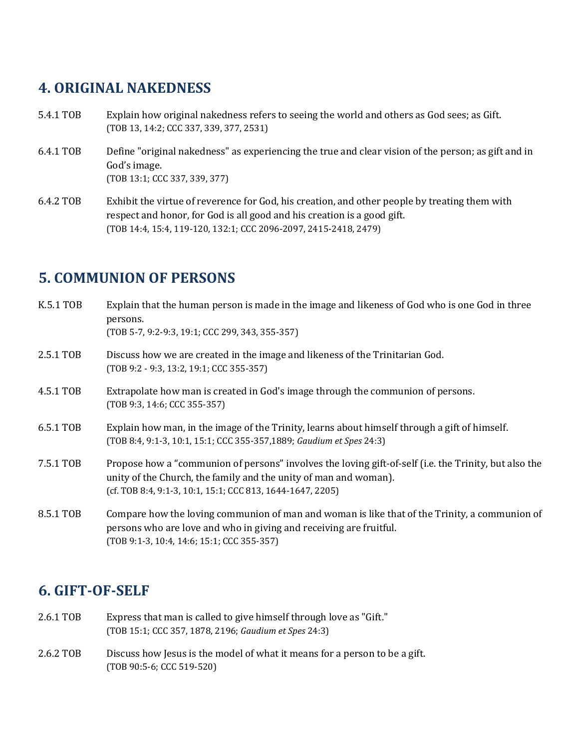### **4. ORIGINAL NAKEDNESS**

- 5.4.1 TOB Explain how original nakedness refers to seeing the world and others as God sees; as Gift. (TOB 13, 14:2; CCC 337, 339, 377, 2531)
- 6.4.1 TOB Define "original nakedness" as experiencing the true and clear vision of the person; as gift and in God's image. (TOB 13:1; CCC 337, 339, 377)
- 6.4.2 TOB Exhibit the virtue of reverence for God, his creation, and other people by treating them with respect and honor, for God is all good and his creation is a good gift. (TOB 14:4, 15:4, 119-120, 132:1; CCC 2096-2097, 2415-2418, 2479)

## **5. COMMUNION OF PERSONS**

| K.5.1 TOB | Explain that the human person is made in the image and likeness of God who is one God in three<br>persons.<br>(TOB 5-7, 9:2-9:3, 19:1; CCC 299, 343, 355-357)                                                                           |
|-----------|-----------------------------------------------------------------------------------------------------------------------------------------------------------------------------------------------------------------------------------------|
| 2.5.1 TOB | Discuss how we are created in the image and likeness of the Trinitarian God.<br>(TOB 9:2 - 9:3, 13:2, 19:1; CCC 355-357)                                                                                                                |
| 4.5.1 TOB | Extrapolate how man is created in God's image through the communion of persons.<br>(TOB 9:3, 14:6; CCC 355-357)                                                                                                                         |
| 6.5.1 TOB | Explain how man, in the image of the Trinity, learns about himself through a gift of himself.<br>(TOB 8:4, 9:1-3, 10:1, 15:1; CCC 355-357,1889; Gaudium et Spes 24:3)                                                                   |
| 7.5.1 TOB | Propose how a "communion of persons" involves the loving gift-of-self (i.e. the Trinity, but also the<br>unity of the Church, the family and the unity of man and woman).<br>(cf. TOB 8:4, 9:1-3, 10:1, 15:1; CCC 813, 1644-1647, 2205) |
| 8.5.1 TOB | Compare how the loving communion of man and woman is like that of the Trinity, a communion of<br>persons who are love and who in giving and receiving are fruitful.<br>(TOB 9:1-3, 10:4, 14:6; 15:1; CCC 355-357)                       |

### **6. GIFT-OF-SELF**

- 2.6.1 TOB Express that man is called to give himself through love as "Gift." (TOB 15:1; CCC 357, 1878, 2196; *Gaudium et Spes* 24:3)
- 2.6.2 TOB Discuss how Jesus is the model of what it means for a person to be a gift. (TOB 90:5-6; CCC 519-520)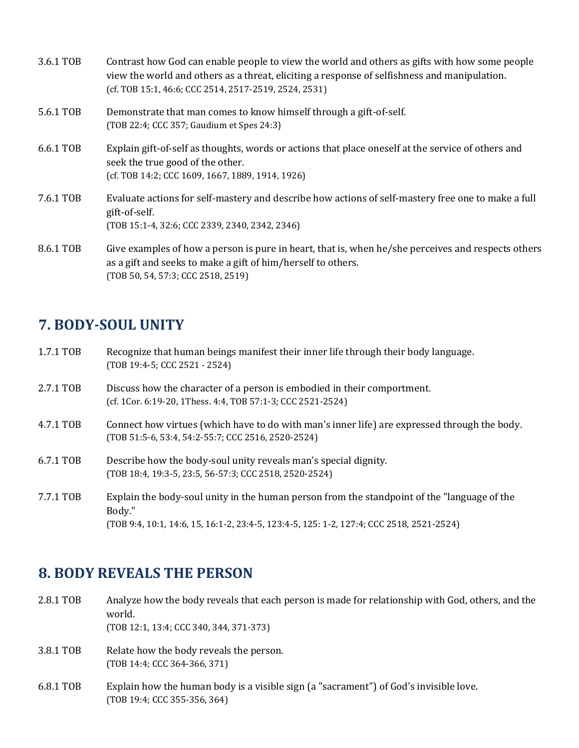| 3.6.1 TOB | Contrast how God can enable people to view the world and others as gifts with how some people<br>view the world and others as a threat, eliciting a response of selfishness and manipulation.<br>(cf. TOB 15:1, 46:6; CCC 2514, 2517-2519, 2524, 2531) |
|-----------|--------------------------------------------------------------------------------------------------------------------------------------------------------------------------------------------------------------------------------------------------------|
| 5.6.1 TOB | Demonstrate that man comes to know himself through a gift-of-self.<br>(TOB 22:4; CCC 357; Gaudium et Spes 24:3)                                                                                                                                        |
| 6.6.1 TOB | Explain gift-of-self as thoughts, words or actions that place oneself at the service of others and<br>seek the true good of the other.<br>(cf. TOB 14:2; CCC 1609, 1667, 1889, 1914, 1926)                                                             |
| 7.6.1 TOB | Evaluate actions for self-mastery and describe how actions of self-mastery free one to make a full<br>gift-of-self.<br>(TOB 15:1-4, 32:6; CCC 2339, 2340, 2342, 2346)                                                                                  |
| 8.6.1 TOB | Give examples of how a person is pure in heart, that is, when he/she perceives and respects others<br>as a gift and seeks to make a gift of him/herself to others.<br>(TOB 50, 54, 57:3; CCC 2518, 2519)                                               |

### **7. BODY-SOUL UNITY**

| 1.7.1 TOB | Recognize that human beings manifest their inner life through their body language. |
|-----------|------------------------------------------------------------------------------------|
|           | $(TOB 19:4-5; CCC 2521 - 2524)$                                                    |

- 2.7.1 TOB Discuss how the character of a person is embodied in their comportment. (cf. 1Cor. 6:19-20, 1Thess. 4:4, TOB 57:1-3; CCC 2521-2524)
- 4.7.1 TOB Connect how virtues (which have to do with man's inner life) are expressed through the body. (TOB 51:5-6, 53:4, 54:2-55:7; CCC 2516, 2520-2524)
- 6.7.1 TOB Describe how the body-soul unity reveals man's special dignity. (TOB 18:4, 19:3-5, 23:5, 56-57:3; CCC 2518, 2520-2524)
- 7.7.1 TOB Explain the body-soul unity in the human person from the standpoint of the "language of the Body." (TOB 9:4, 10:1, 14:6, 15, 16:1-2, 23:4-5, 123:4-5, 125: 1-2, 127:4; CCC 2518, 2521-2524)

### **8. BODY REVEALS THE PERSON**

2.8.1 TOB Analyze how the body reveals that each person is made for relationship with God, others, and the world. (TOB 12:1, 13:4; CCC 340, 344, 371-373) 3.8.1 TOB Relate how the body reveals the person. (TOB 14:4; CCC 364-366, 371) 6.8.1 TOB Explain how the human body is a visible sign (a "sacrament") of God's invisible love. (TOB 19:4; CCC 355-356, 364)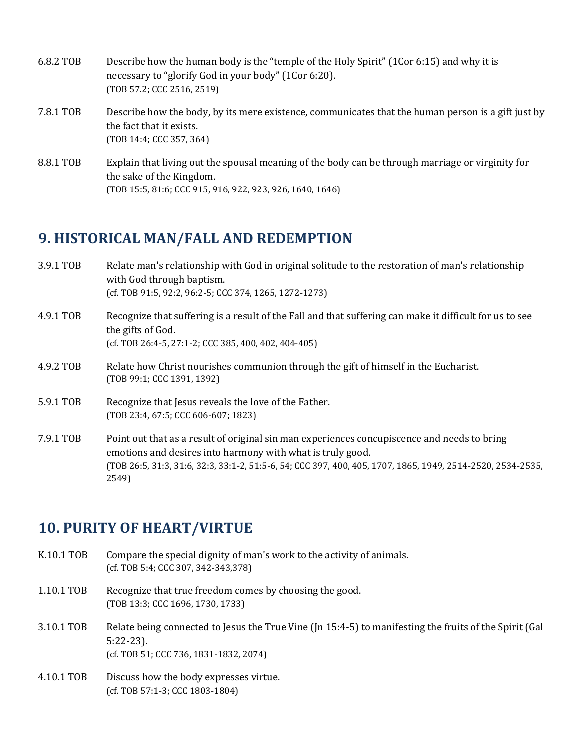| 6.8.2 TOB | Describe how the human body is the "temple of the Holy Spirit" (1Cor 6:15) and why it is<br>necessary to "glorify God in your body" (1Cor 6:20).<br>(TOB 57.2; CCC 2516, 2519) |
|-----------|--------------------------------------------------------------------------------------------------------------------------------------------------------------------------------|
| 7.8.1 TOB | Describe how the body, by its mere existence, communicates that the human person is a gift just by<br>the fact that it exists.<br>(TOB 14:4; CCC 357, 364)                     |
| 8.8.1 TOB | Explain that living out the spousal meaning of the body can be through marriage or virginity for<br>the sake of the Kingdom.                                                   |

#### (TOB 15:5, 81:6; CCC 915, 916, 922, 923, 926, 1640, 1646)

#### **9. HISTORICAL MAN/FALL AND REDEMPTION**

- 3.9.1 TOB Relate man's relationship with God in original solitude to the restoration of man's relationship with God through baptism. (cf. TOB 91:5, 92:2, 96:2-5; CCC 374, 1265, 1272-1273)
- 4.9.1 TOB Recognize that suffering is a result of the Fall and that suffering can make it difficult for us to see the gifts of God. (cf. TOB 26:4-5, 27:1-2; CCC 385, 400, 402, 404-405)
- 4.9.2 TOB Relate how Christ nourishes communion through the gift of himself in the Eucharist. (TOB 99:1; CCC 1391, 1392)
- 5.9.1 TOB Recognize that Jesus reveals the love of the Father. (TOB 23:4, 67:5; CCC 606-607; 1823)
- 7.9.1 TOB Point out that as a result of original sin man experiences concupiscence and needs to bring emotions and desires into harmony with what is truly good. (TOB 26:5, 31:3, 31:6, 32:3, 33:1-2, 51:5-6, 54; CCC 397, 400, 405, 1707, 1865, 1949, 2514-2520, 2534-2535, 2549)

### **10. PURITY OF HEART/VIRTUE**

- K.10.1 TOB Compare the special dignity of man's work to the activity of animals. (cf. TOB 5:4; CCC 307, 342-343,378)
- 1.10.1 TOB Recognize that true freedom comes by choosing the good. (TOB 13:3; CCC 1696, 1730, 1733)
- 3.10.1 TOB Relate being connected to Jesus the True Vine (Jn 15:4-5) to manifesting the fruits of the Spirit (Gal 5:22-23). (cf. TOB 51; CCC 736, 1831-1832, 2074)
- 4.10.1 TOB Discuss how the body expresses virtue. (cf. TOB 57:1-3; CCC 1803-1804)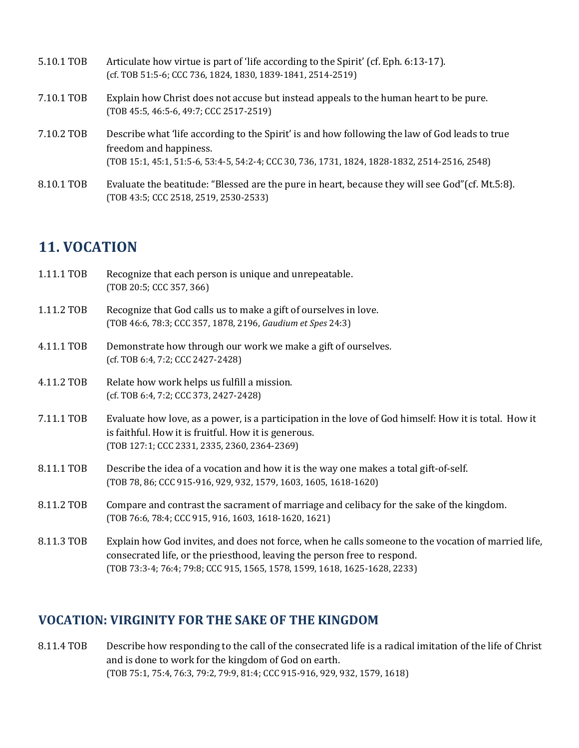| 5.10.1 TOB | Articulate how virtue is part of 'life according to the Spirit' (cf. Eph. 6:13-17).<br>(cf. TOB 51:5-6; CCC 736, 1824, 1830, 1839-1841, 2514-2519)                                                                        |
|------------|---------------------------------------------------------------------------------------------------------------------------------------------------------------------------------------------------------------------------|
| 7.10.1 TOB | Explain how Christ does not accuse but instead appeals to the human heart to be pure.<br>(TOB 45:5, 46:5-6, 49:7; CCC 2517-2519)                                                                                          |
| 7.10.2 TOB | Describe what 'life according to the Spirit' is and how following the law of God leads to true<br>freedom and happiness.<br>(TOB 15:1, 45:1, 51:5-6, 53:4-5, 54:2-4; CCC 30, 736, 1731, 1824, 1828-1832, 2514-2516, 2548) |
| 8.10.1 TOB | Evaluate the beatitude: "Blessed are the pure in heart, because they will see God" (cf. Mt.5:8).<br>(TOB 43:5; CCC 2518, 2519, 2530-2533)                                                                                 |

### **11. VOCATION**

| 1.11.1 TOB | Recognize that each person is unique and unrepeatable.<br>(TOB 20:5; CCC 357, 366)                                                                                                                                                                            |
|------------|---------------------------------------------------------------------------------------------------------------------------------------------------------------------------------------------------------------------------------------------------------------|
| 1.11.2 TOB | Recognize that God calls us to make a gift of ourselves in love.<br>(TOB 46:6, 78:3; CCC 357, 1878, 2196, Gaudium et Spes 24:3)                                                                                                                               |
| 4.11.1 TOB | Demonstrate how through our work we make a gift of ourselves.<br>(cf. TOB 6:4, 7:2; CCC 2427-2428)                                                                                                                                                            |
| 4.11.2 TOB | Relate how work helps us fulfill a mission.<br>(cf. TOB 6:4, 7:2; CCC 373, 2427-2428)                                                                                                                                                                         |
| 7.11.1 TOB | Evaluate how love, as a power, is a participation in the love of God himself: How it is total. How it<br>is faithful. How it is fruitful. How it is generous.<br>(TOB 127:1; CCC 2331, 2335, 2360, 2364-2369)                                                 |
| 8.11.1 TOB | Describe the idea of a vocation and how it is the way one makes a total gift-of-self.<br>(TOB 78, 86; CCC 915-916, 929, 932, 1579, 1603, 1605, 1618-1620)                                                                                                     |
| 8.11.2 TOB | Compare and contrast the sacrament of marriage and celibacy for the sake of the kingdom.<br>(TOB 76:6, 78:4; CCC 915, 916, 1603, 1618-1620, 1621)                                                                                                             |
| 8.11.3 TOB | Explain how God invites, and does not force, when he calls someone to the vocation of married life,<br>consecrated life, or the priesthood, leaving the person free to respond.<br>(TOB 73:3-4; 76:4; 79:8; CCC 915, 1565, 1578, 1599, 1618, 1625-1628, 2233) |

### **VOCATION: VIRGINITY FOR THE SAKE OF THE KINGDOM**

8.11.4 TOB Describe how responding to the call of the consecrated life is a radical imitation of the life of Christ and is done to work for the kingdom of God on earth. (TOB 75:1, 75:4, 76:3, 79:2, 79:9, 81:4; CCC 915-916, 929, 932, 1579, 1618)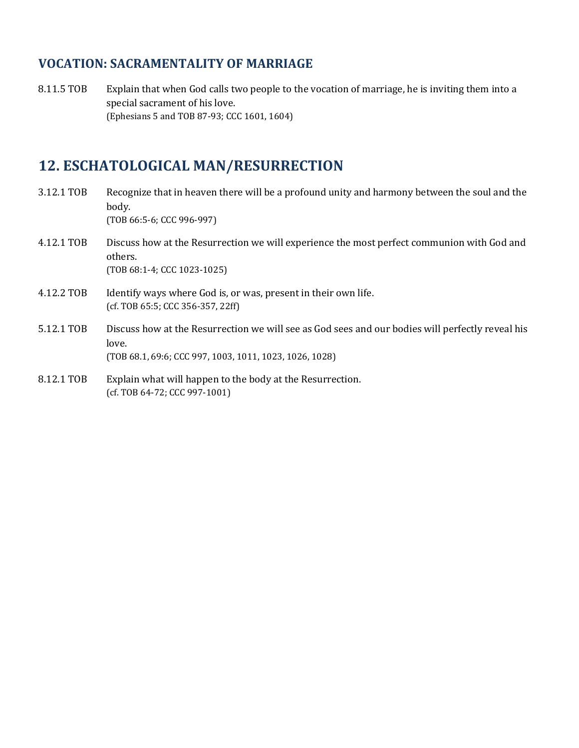#### **VOCATION: SACRAMENTALITY OF MARRIAGE**

8.11.5 TOB Explain that when God calls two people to the vocation of marriage, he is inviting them into a special sacrament of his love. (Ephesians 5 and TOB 87-93; CCC 1601, 1604)

# **12. ESCHATOLOGICAL MAN/RESURRECTION**

| 3.12.1 TOB | Recognize that in heaven there will be a profound unity and harmony between the soul and the<br>body.<br>(TOB 66:5-6; CCC 996-997)                                   |
|------------|----------------------------------------------------------------------------------------------------------------------------------------------------------------------|
| 4.12.1 TOB | Discuss how at the Resurrection we will experience the most perfect communion with God and<br>others.<br>(TOB 68:1-4; CCC 1023-1025)                                 |
| 4.12.2 TOB | Identify ways where God is, or was, present in their own life.<br>(cf. TOB 65:5; CCC 356-357, 22ff)                                                                  |
| 5.12.1 TOB | Discuss how at the Resurrection we will see as God sees and our bodies will perfectly reveal his<br>love.<br>(TOB 68.1, 69:6; CCC 997, 1003, 1011, 1023, 1026, 1028) |
| 8.12.1 TOB | Explain what will happen to the body at the Resurrection.<br>(cf. TOB 64-72; CCC 997-1001)                                                                           |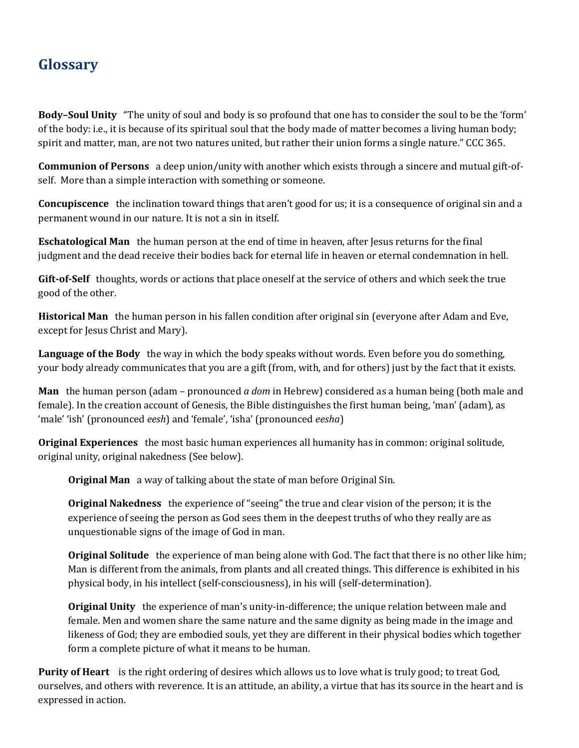# **Glossary**

**Body–Soul Unity** "The unity of soul and body is so profound that one has to consider the soul to be the 'form' of the body: i.e., it is because of its spiritual soul that the body made of matter becomes a living human body; spirit and matter, man, are not two natures united, but rather their union forms a single nature." CCC 365.

**Communion of Persons** a deep union/unity with another which exists through a sincere and mutual gift-ofself. More than a simple interaction with something or someone.

**Concupiscence** the inclination toward things that aren't good for us; it is a consequence of original sin and a permanent wound in our nature. It is not a sin in itself.

**Eschatological Man** the human person at the end of time in heaven, after Jesus returns for the final judgment and the dead receive their bodies back for eternal life in heaven or eternal condemnation in hell.

**Gift-of-Self** thoughts, words or actions that place oneself at the service of others and which seek the true good of the other.

**Historical Man** the human person in his fallen condition after original sin (everyone after Adam and Eve, except for Jesus Christ and Mary).

**Language of the Body** the way in which the body speaks without words. Even before you do something, your body already communicates that you are a gift (from, with, and for others) just by the fact that it exists.

**Man** the human person (adam – pronounced *a dom* in Hebrew) considered as a human being (both male and female). In the creation account of Genesis, the Bible distinguishes the first human being, 'man' (adam), as 'male' 'ish' (pronounced *eesh*) and 'female', 'isha' (pronounced *eesha*)

**Original Experiences** the most basic human experiences all humanity has in common: original solitude, original unity, original nakedness (See below).

**Original Man** a way of talking about the state of man before Original Sin.

**Original Nakedness** the experience of "seeing" the true and clear vision of the person; it is the experience of seeing the person as God sees them in the deepest truths of who they really are as unquestionable signs of the image of God in man.

**Original Solitude** the experience of man being alone with God. The fact that there is no other like him; Man is different from the animals, from plants and all created things. This difference is exhibited in his physical body, in his intellect (self-consciousness), in his will (self-determination).

**Original Unity** the experience of man's unity-in-difference; the unique relation between male and female. Men and women share the same nature and the same dignity as being made in the image and likeness of God; they are embodied souls, yet they are different in their physical bodies which together form a complete picture of what it means to be human.

**Purity of Heart** is the right ordering of desires which allows us to love what is truly good; to treat God, ourselves, and others with reverence. It is an attitude, an ability, a virtue that has its source in the heart and is expressed in action.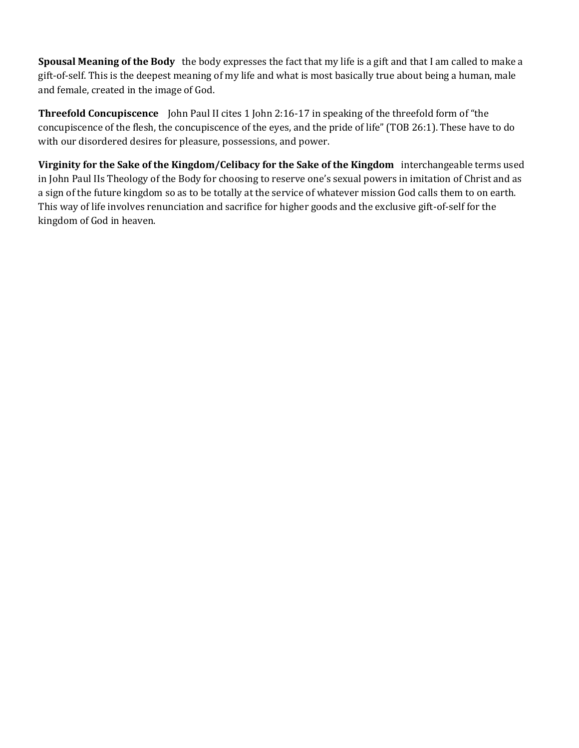**Spousal Meaning of the Body** the body expresses the fact that my life is a gift and that I am called to make a gift-of-self. This is the deepest meaning of my life and what is most basically true about being a human, male and female, created in the image of God.

**Threefold Concupiscence** John Paul II cites 1 John 2:16-17 in speaking of the threefold form of "the concupiscence of the flesh, the concupiscence of the eyes, and the pride of life" (TOB 26:1). These have to do with our disordered desires for pleasure, possessions, and power.

**Virginity for the Sake of the Kingdom/Celibacy for the Sake of the Kingdom** interchangeable terms used in John Paul IIs Theology of the Body for choosing to reserve one's sexual powers in imitation of Christ and as a sign of the future kingdom so as to be totally at the service of whatever mission God calls them to on earth. This way of life involves renunciation and sacrifice for higher goods and the exclusive gift-of-self for the kingdom of God in heaven.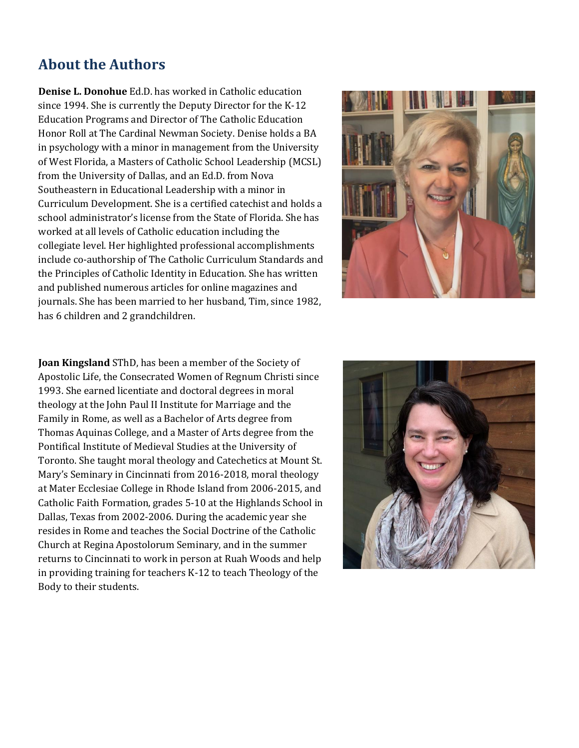## **About the Authors**

**Denise L. Donohue** Ed.D. has worked in Catholic education since 1994. She is currently the Deputy Director for the K-12 Education Programs and Director of The Catholic Education Honor Roll at The Cardinal Newman Society. Denise holds a BA in psychology with a minor in management from the University of West Florida, a Masters of Catholic School Leadership (MCSL) from the University of Dallas, and an Ed.D. from Nova Southeastern in Educational Leadership with a minor in Curriculum Development. She is a certified catechist and holds a school administrator's license from the State of Florida. She has worked at all levels of Catholic education including the collegiate level. Her highlighted professional accomplishments include co-authorship of The Catholic Curriculum Standards and the Principles of Catholic Identity in Education. She has written and published numerous articles for online magazines and journals. She has been married to her husband, Tim, since 1982, has 6 children and 2 grandchildren.



**Joan Kingsland** SThD, has been a member of the Society of Apostolic Life, the Consecrated Women of Regnum Christi since 1993. She earned licentiate and doctoral degrees in moral theology at the John Paul II Institute for Marriage and the Family in Rome, as well as a Bachelor of Arts degree from Thomas Aquinas College, and a Master of Arts degree from the Pontifical Institute of Medieval Studies at the University of Toronto. She taught moral theology and Catechetics at Mount St. Mary's Seminary in Cincinnati from 2016-2018, moral theology at Mater Ecclesiae College in Rhode Island from 2006-2015, and Catholic Faith Formation, grades 5-10 at the Highlands School in Dallas, Texas from 2002-2006. During the academic year she resides in Rome and teaches the Social Doctrine of the Catholic Church at Regina Apostolorum Seminary, and in the summer returns to Cincinnati to work in person at Ruah Woods and help in providing training for teachers K-12 to teach Theology of the Body to their students.

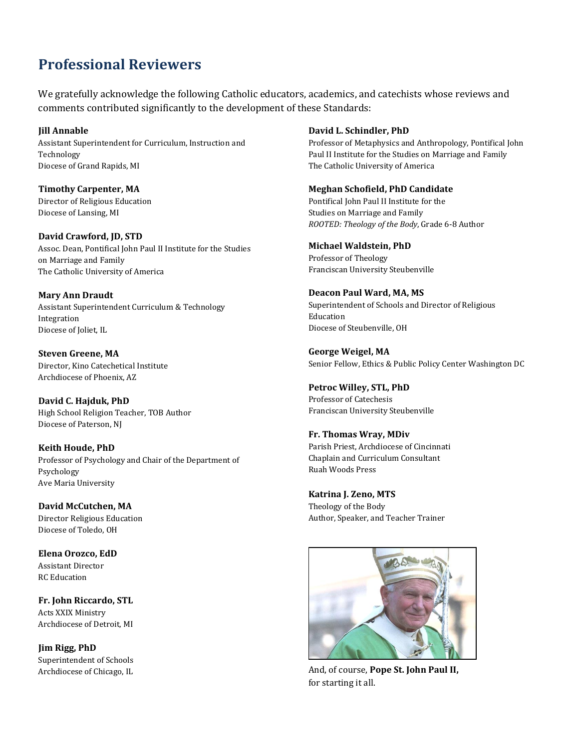## **Professional Reviewers**

We gratefully acknowledge the following Catholic educators, academics, and catechists whose reviews and comments contributed significantly to the development of these Standards:

**Jill Annable** Assistant Superintendent for Curriculum, Instruction and Technology Diocese of Grand Rapids, MI

**Timothy Carpenter, MA** Director of Religious Education Diocese of Lansing, MI

**David Crawford, JD, STD** Assoc. Dean, Pontifical John Paul II Institute for the Studies on Marriage and Family The Catholic University of America

**Mary Ann Draudt** Assistant Superintendent Curriculum & Technology Integration Diocese of Joliet, IL

**Steven Greene, MA** Director, Kino Catechetical Institute Archdiocese of Phoenix, AZ

**David C. Hajduk, PhD** High School Religion Teacher, TOB Author Diocese of Paterson, NJ

**Keith Houde, PhD** Professor of Psychology and Chair of the Department of Psychology Ave Maria University

**David McCutchen, MA** Director Religious Education Diocese of Toledo, OH

**Elena Orozco, EdD** Assistant Director RC Education

**Fr. John Riccardo, STL** Acts XXIX Ministry Archdiocese of Detroit, MI

**Jim Rigg, PhD** Superintendent of Schools Archdiocese of Chicago, IL

#### **David L. Schindler, PhD**

Professor of Metaphysics and Anthropology, Pontifical John Paul II Institute for the Studies on Marriage and Family The Catholic University of America

#### **Meghan Schofield, PhD Candidate**

Pontifical John Paul II Institute for the Studies on Marriage and Family *ROOTED: Theology of the Body*, Grade 6-8 Author

#### **Michael Waldstein, PhD**

Professor of Theology Franciscan University Steubenville

#### **Deacon Paul Ward, MA, MS** Superintendent of Schools and Director of Religious Education Diocese of Steubenville, OH

**George Weigel, MA** Senior Fellow, Ethics & Public Policy Center Washington DC

**Petroc Willey, STL, PhD** Professor of Catechesis Franciscan University Steubenville

**Fr. Thomas Wray, MDiv** Parish Priest, Archdiocese of Cincinnati Chaplain and Curriculum Consultant Ruah Woods Press

**Katrina J. Zeno, MTS** Theology of the Body Author, Speaker, and Teacher Trainer



And, of course, **Pope St. John Paul II,** for starting it all.